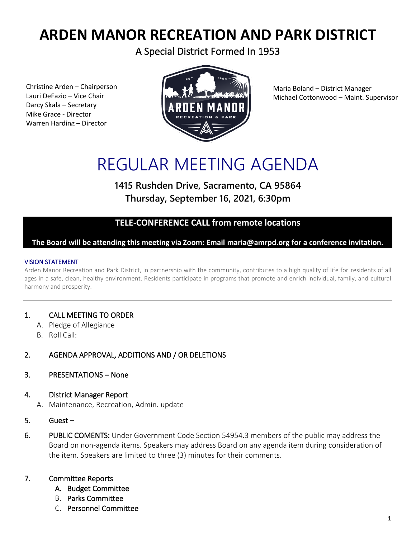## **ARDEN MANOR RECREATION AND PARK DISTRICT**

A Special District Formed In 1953

Christine Arden – Chairperson Lauri DeFazio – Vice Chair Darcy Skala – Secretary Mike Grace - Director Warren Harding – Director



Maria Boland – District Manager Michael Cottonwood – Maint. Supervisor

# REGULAR MEETING AGENDA

### **1415 Rushden Drive, Sacramento, CA 95864 Thursday, September 16, 2021, 6:30pm**

#### **TELE-CONFERENCE CALL from remote locations**

#### **The Board will be attending this meeting via Zoom: Email maria@amrpd.org for a conference invitation.**

#### VISION STATEMENT

Arden Manor Recreation and Park District, in partnership with the community, contributes to a high quality of life for residents of all ages in a safe, clean, healthy environment. Residents participate in programs that promote and enrich individual, family, and cultural harmony and prosperity.

#### 1. CALL MEETING TO ORDER

- A. Pledge of Allegiance
- B. Roll Call:

#### 2. AGENDA APPROVAL, ADDITIONS AND / OR DELETIONS

#### 3. PRESENTATIONS – None

- 4. District Manager Report
	- A. Maintenance, Recreation, Admin. update
- 5. Guest –
- 6. PUBLIC COMENTS: Under Government Code Section 54954.3 members of the public may address the Board on non-agenda items. Speakers may address Board on any agenda item during consideration of the item. Speakers are limited to three (3) minutes for their comments.

#### 7. Committee Reports

- A. Budget Committee
- B. Parks Committee
- C. Personnel Committee